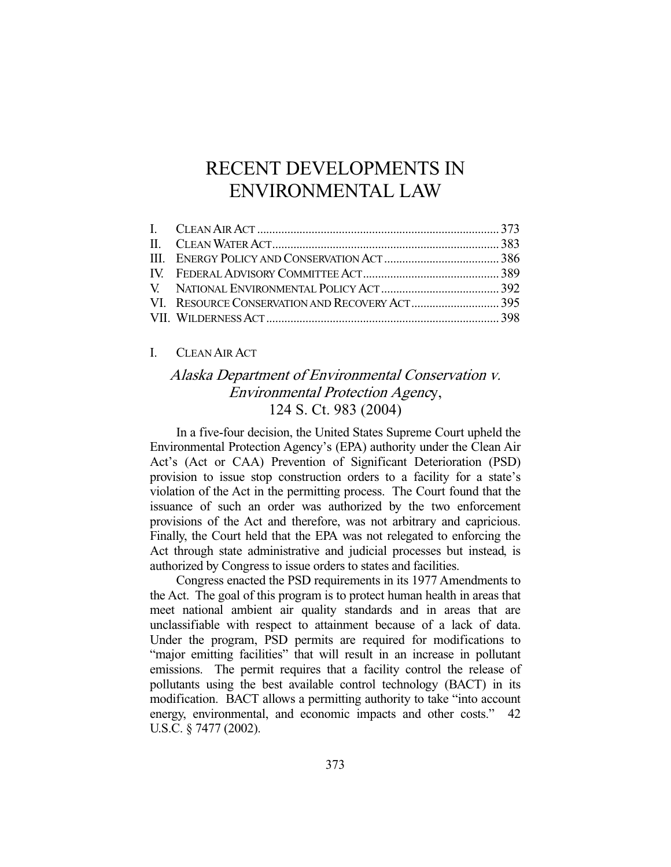# RECENT DEVELOPMENTS IN ENVIRONMENTAL LAW

### I. CLEAN AIR ACT

# Alaska Department of Environmental Conservation v. Environmental Protection Agency, 124 S. Ct. 983 (2004)

 In a five-four decision, the United States Supreme Court upheld the Environmental Protection Agency's (EPA) authority under the Clean Air Act's (Act or CAA) Prevention of Significant Deterioration (PSD) provision to issue stop construction orders to a facility for a state's violation of the Act in the permitting process. The Court found that the issuance of such an order was authorized by the two enforcement provisions of the Act and therefore, was not arbitrary and capricious. Finally, the Court held that the EPA was not relegated to enforcing the Act through state administrative and judicial processes but instead, is authorized by Congress to issue orders to states and facilities.

 Congress enacted the PSD requirements in its 1977 Amendments to the Act. The goal of this program is to protect human health in areas that meet national ambient air quality standards and in areas that are unclassifiable with respect to attainment because of a lack of data. Under the program, PSD permits are required for modifications to "major emitting facilities" that will result in an increase in pollutant emissions. The permit requires that a facility control the release of pollutants using the best available control technology (BACT) in its modification. BACT allows a permitting authority to take "into account energy, environmental, and economic impacts and other costs." 42 U.S.C. § 7477 (2002).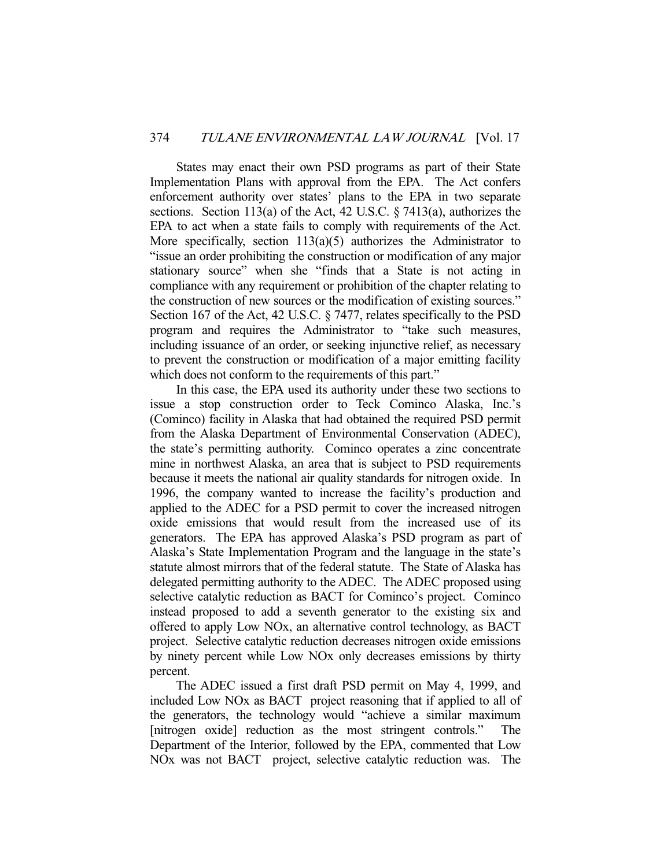States may enact their own PSD programs as part of their State Implementation Plans with approval from the EPA. The Act confers enforcement authority over states' plans to the EPA in two separate sections. Section 113(a) of the Act, 42 U.S.C. § 7413(a), authorizes the EPA to act when a state fails to comply with requirements of the Act. More specifically, section  $113(a)(5)$  authorizes the Administrator to "issue an order prohibiting the construction or modification of any major stationary source" when she "finds that a State is not acting in compliance with any requirement or prohibition of the chapter relating to the construction of new sources or the modification of existing sources." Section 167 of the Act, 42 U.S.C. § 7477, relates specifically to the PSD program and requires the Administrator to "take such measures, including issuance of an order, or seeking injunctive relief, as necessary to prevent the construction or modification of a major emitting facility which does not conform to the requirements of this part."

 In this case, the EPA used its authority under these two sections to issue a stop construction order to Teck Cominco Alaska, Inc.'s (Cominco) facility in Alaska that had obtained the required PSD permit from the Alaska Department of Environmental Conservation (ADEC), the state's permitting authority. Cominco operates a zinc concentrate mine in northwest Alaska, an area that is subject to PSD requirements because it meets the national air quality standards for nitrogen oxide. In 1996, the company wanted to increase the facility's production and applied to the ADEC for a PSD permit to cover the increased nitrogen oxide emissions that would result from the increased use of its generators. The EPA has approved Alaska's PSD program as part of Alaska's State Implementation Program and the language in the state's statute almost mirrors that of the federal statute. The State of Alaska has delegated permitting authority to the ADEC. The ADEC proposed using selective catalytic reduction as BACT for Cominco's project. Cominco instead proposed to add a seventh generator to the existing six and offered to apply Low NOx, an alternative control technology, as BACT project. Selective catalytic reduction decreases nitrogen oxide emissions by ninety percent while Low NOx only decreases emissions by thirty percent.

 The ADEC issued a first draft PSD permit on May 4, 1999, and included Low NOx as BACT project reasoning that if applied to all of the generators, the technology would "achieve a similar maximum [nitrogen oxide] reduction as the most stringent controls." The Department of the Interior, followed by the EPA, commented that Low NOx was not BACT project, selective catalytic reduction was. The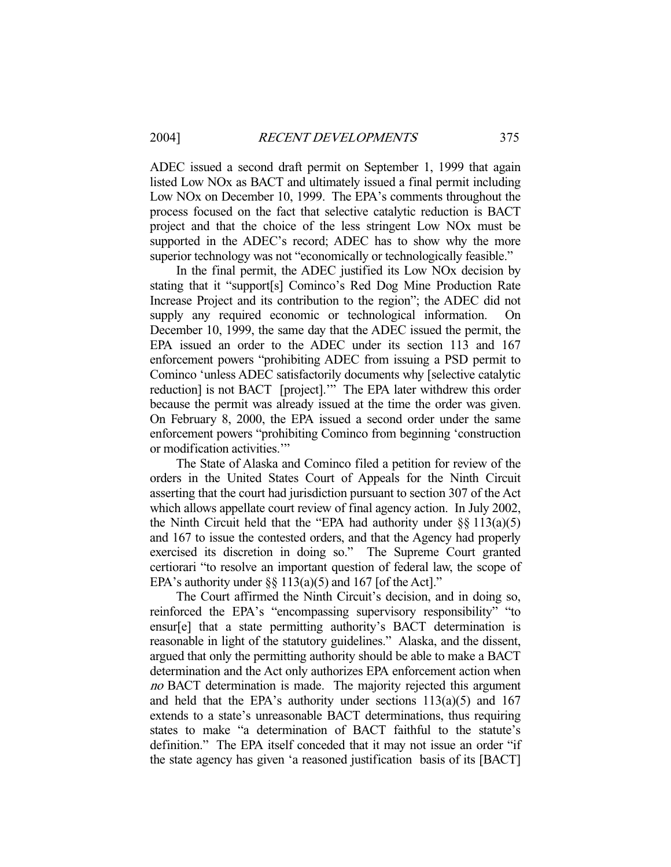ADEC issued a second draft permit on September 1, 1999 that again listed Low NOx as BACT and ultimately issued a final permit including Low NOx on December 10, 1999. The EPA's comments throughout the process focused on the fact that selective catalytic reduction is BACT project and that the choice of the less stringent Low NOx must be supported in the ADEC's record; ADEC has to show why the more superior technology was not "economically or technologically feasible."

 In the final permit, the ADEC justified its Low NOx decision by stating that it "support[s] Cominco's Red Dog Mine Production Rate Increase Project and its contribution to the region"; the ADEC did not supply any required economic or technological information. December 10, 1999, the same day that the ADEC issued the permit, the EPA issued an order to the ADEC under its section 113 and 167 enforcement powers "prohibiting ADEC from issuing a PSD permit to Cominco 'unless ADEC satisfactorily documents why [selective catalytic reduction] is not BACT [project].'" The EPA later withdrew this order because the permit was already issued at the time the order was given. On February 8, 2000, the EPA issued a second order under the same enforcement powers "prohibiting Cominco from beginning 'construction or modification activities.'"

 The State of Alaska and Cominco filed a petition for review of the orders in the United States Court of Appeals for the Ninth Circuit asserting that the court had jurisdiction pursuant to section 307 of the Act which allows appellate court review of final agency action. In July 2002, the Ninth Circuit held that the "EPA had authority under  $\S\S 113(a)(5)$ and 167 to issue the contested orders, and that the Agency had properly exercised its discretion in doing so." The Supreme Court granted certiorari "to resolve an important question of federal law, the scope of EPA's authority under  $\S$ § 113(a)(5) and 167 [of the Act]."

 The Court affirmed the Ninth Circuit's decision, and in doing so, reinforced the EPA's "encompassing supervisory responsibility" "to ensur[e] that a state permitting authority's BACT determination is reasonable in light of the statutory guidelines." Alaska, and the dissent, argued that only the permitting authority should be able to make a BACT determination and the Act only authorizes EPA enforcement action when no BACT determination is made. The majority rejected this argument and held that the EPA's authority under sections  $113(a)(5)$  and  $167$ extends to a state's unreasonable BACT determinations, thus requiring states to make "a determination of BACT faithful to the statute's definition." The EPA itself conceded that it may not issue an order "if the state agency has given 'a reasoned justification basis of its [BACT]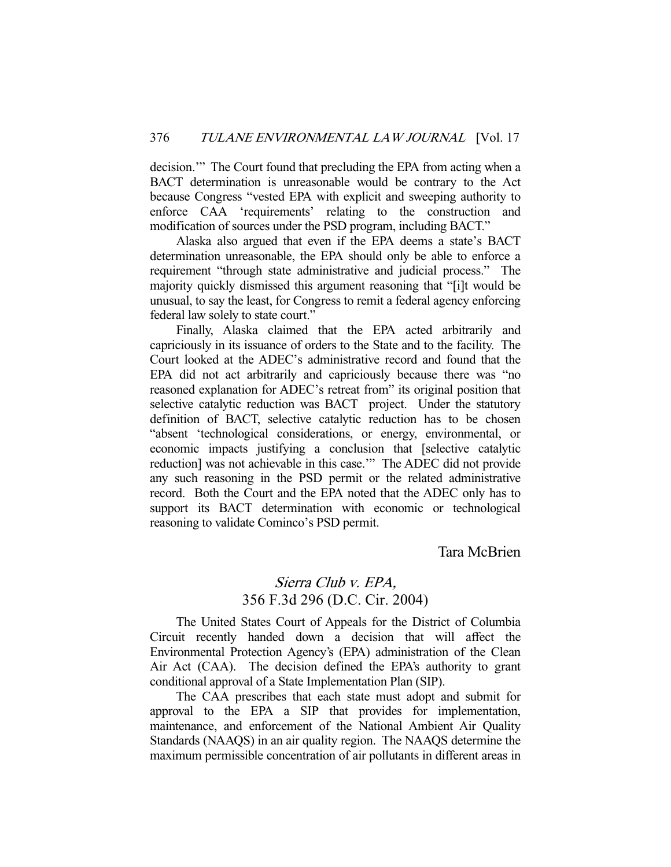decision.'" The Court found that precluding the EPA from acting when a BACT determination is unreasonable would be contrary to the Act because Congress "vested EPA with explicit and sweeping authority to enforce CAA 'requirements' relating to the construction and modification of sources under the PSD program, including BACT."

 Alaska also argued that even if the EPA deems a state's BACT determination unreasonable, the EPA should only be able to enforce a requirement "through state administrative and judicial process." The majority quickly dismissed this argument reasoning that "[i]t would be unusual, to say the least, for Congress to remit a federal agency enforcing federal law solely to state court."

 Finally, Alaska claimed that the EPA acted arbitrarily and capriciously in its issuance of orders to the State and to the facility. The Court looked at the ADEC's administrative record and found that the EPA did not act arbitrarily and capriciously because there was "no reasoned explanation for ADEC's retreat from" its original position that selective catalytic reduction was BACT project. Under the statutory definition of BACT, selective catalytic reduction has to be chosen "absent 'technological considerations, or energy, environmental, or economic impacts justifying a conclusion that [selective catalytic reduction] was not achievable in this case.'" The ADEC did not provide any such reasoning in the PSD permit or the related administrative record. Both the Court and the EPA noted that the ADEC only has to support its BACT determination with economic or technological reasoning to validate Cominco's PSD permit.

Tara McBrien

# Sierra Club v. EPA, 356 F.3d 296 (D.C. Cir. 2004)

 The United States Court of Appeals for the District of Columbia Circuit recently handed down a decision that will affect the Environmental Protection Agency's (EPA) administration of the Clean Air Act (CAA). The decision defined the EPA's authority to grant conditional approval of a State Implementation Plan (SIP).

 The CAA prescribes that each state must adopt and submit for approval to the EPA a SIP that provides for implementation, maintenance, and enforcement of the National Ambient Air Quality Standards (NAAQS) in an air quality region. The NAAQS determine the maximum permissible concentration of air pollutants in different areas in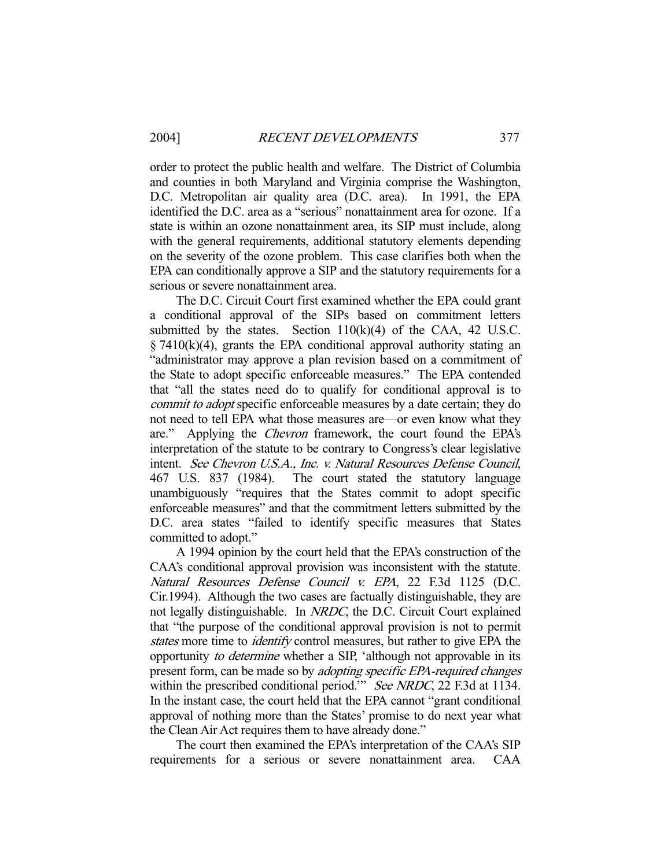order to protect the public health and welfare. The District of Columbia and counties in both Maryland and Virginia comprise the Washington, D.C. Metropolitan air quality area (D.C. area). In 1991, the EPA identified the D.C. area as a "serious" nonattainment area for ozone. If a state is within an ozone nonattainment area, its SIP must include, along with the general requirements, additional statutory elements depending on the severity of the ozone problem. This case clarifies both when the EPA can conditionally approve a SIP and the statutory requirements for a serious or severe nonattainment area.

 The D.C. Circuit Court first examined whether the EPA could grant a conditional approval of the SIPs based on commitment letters submitted by the states. Section  $110(k)(4)$  of the CAA, 42 U.S.C.  $\S$  7410(k)(4), grants the EPA conditional approval authority stating an "administrator may approve a plan revision based on a commitment of the State to adopt specific enforceable measures." The EPA contended that "all the states need do to qualify for conditional approval is to commit to adopt specific enforceable measures by a date certain; they do not need to tell EPA what those measures are—or even know what they are." Applying the Chevron framework, the court found the EPA's interpretation of the statute to be contrary to Congress's clear legislative intent. See Chevron U.S.A., Inc. v. Natural Resources Defense Council, 467 U.S. 837 (1984). The court stated the statutory language unambiguously "requires that the States commit to adopt specific enforceable measures" and that the commitment letters submitted by the D.C. area states "failed to identify specific measures that States committed to adopt."

 A 1994 opinion by the court held that the EPA's construction of the CAA's conditional approval provision was inconsistent with the statute. Natural Resources Defense Council v. EPA, 22 F.3d 1125 (D.C. Cir.1994). Although the two cases are factually distinguishable, they are not legally distinguishable. In NRDC, the D.C. Circuit Court explained that "the purpose of the conditional approval provision is not to permit states more time to *identify* control measures, but rather to give EPA the opportunity to determine whether a SIP, 'although not approvable in its present form, can be made so by adopting specific EPA-required changes within the prescribed conditional period." See NRDC, 22 F.3d at 1134. In the instant case, the court held that the EPA cannot "grant conditional approval of nothing more than the States' promise to do next year what the Clean Air Act requires them to have already done."

 The court then examined the EPA's interpretation of the CAA's SIP requirements for a serious or severe nonattainment area. CAA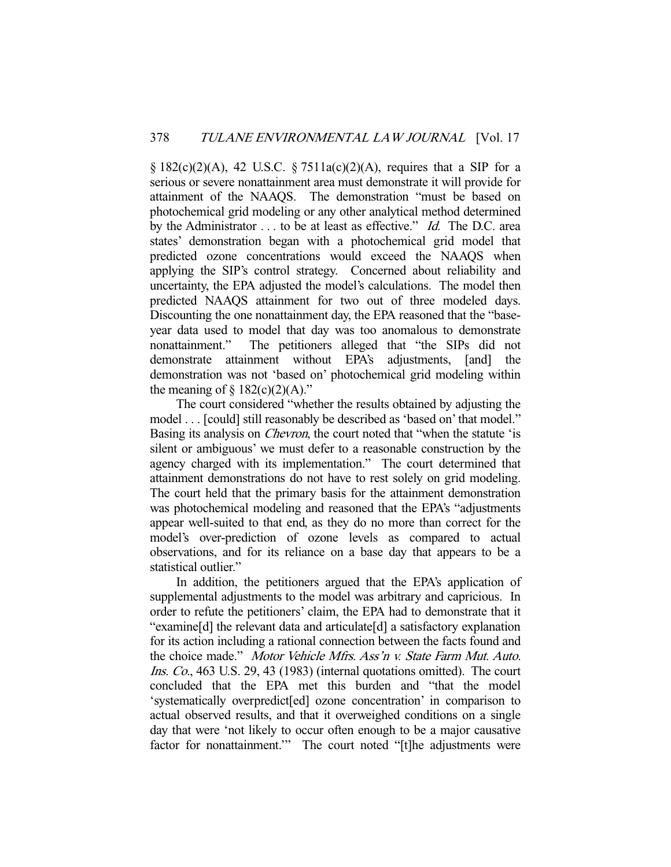$\S 182(c)(2)(A)$ , 42 U.S.C.  $\S 7511a(c)(2)(A)$ , requires that a SIP for a serious or severe nonattainment area must demonstrate it will provide for attainment of the NAAQS. The demonstration "must be based on photochemical grid modeling or any other analytical method determined by the Administrator . . . to be at least as effective." *Id.* The D.C. area states' demonstration began with a photochemical grid model that predicted ozone concentrations would exceed the NAAQS when applying the SIP's control strategy. Concerned about reliability and uncertainty, the EPA adjusted the model's calculations. The model then predicted NAAQS attainment for two out of three modeled days. Discounting the one nonattainment day, the EPA reasoned that the "baseyear data used to model that day was too anomalous to demonstrate nonattainment." The petitioners alleged that "the SIPs did not demonstrate attainment without EPA's adjustments, [and] the demonstration was not 'based on' photochemical grid modeling within the meaning of  $\S 182(c)(2)(A)$ ."

 The court considered "whether the results obtained by adjusting the model . . . [could] still reasonably be described as 'based on' that model." Basing its analysis on *Chevron*, the court noted that "when the statute 'is silent or ambiguous' we must defer to a reasonable construction by the agency charged with its implementation." The court determined that attainment demonstrations do not have to rest solely on grid modeling. The court held that the primary basis for the attainment demonstration was photochemical modeling and reasoned that the EPA's "adjustments appear well-suited to that end, as they do no more than correct for the model's over-prediction of ozone levels as compared to actual observations, and for its reliance on a base day that appears to be a statistical outlier."

 In addition, the petitioners argued that the EPA's application of supplemental adjustments to the model was arbitrary and capricious. In order to refute the petitioners' claim, the EPA had to demonstrate that it "examine[d] the relevant data and articulate[d] a satisfactory explanation for its action including a rational connection between the facts found and the choice made." Motor Vehicle Mfrs. Ass'n v. State Farm Mut. Auto. Ins. Co., 463 U.S. 29, 43 (1983) (internal quotations omitted). The court concluded that the EPA met this burden and "that the model 'systematically overpredict[ed] ozone concentration' in comparison to actual observed results, and that it overweighed conditions on a single day that were 'not likely to occur often enough to be a major causative factor for nonattainment." The court noted "[t]he adjustments were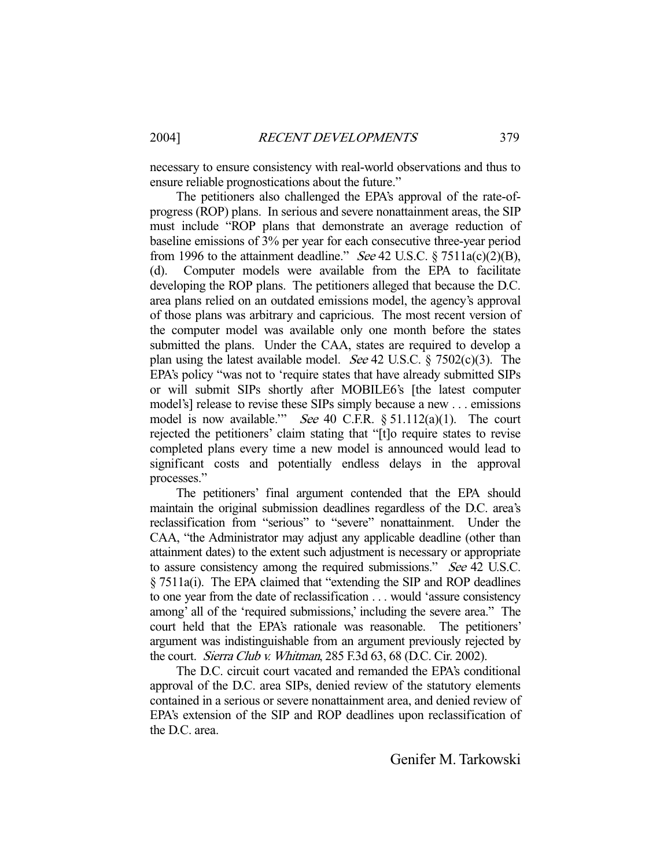necessary to ensure consistency with real-world observations and thus to ensure reliable prognostications about the future."

 The petitioners also challenged the EPA's approval of the rate-ofprogress (ROP) plans. In serious and severe nonattainment areas, the SIP must include "ROP plans that demonstrate an average reduction of baseline emissions of 3% per year for each consecutive three-year period from 1996 to the attainment deadline." See 42 U.S.C.  $\S 7511a(c)(2)(B)$ , (d). Computer models were available from the EPA to facilitate developing the ROP plans. The petitioners alleged that because the D.C. area plans relied on an outdated emissions model, the agency's approval of those plans was arbitrary and capricious. The most recent version of the computer model was available only one month before the states submitted the plans. Under the CAA, states are required to develop a plan using the latest available model. *See* 42 U.S.C.  $\S$  7502(c)(3). The EPA's policy "was not to 'require states that have already submitted SIPs or will submit SIPs shortly after MOBILE6's [the latest computer model's] release to revise these SIPs simply because a new . . . emissions model is now available." See 40 C.F.R.  $\S 51.112(a)(1)$ . The court rejected the petitioners' claim stating that "[t]o require states to revise completed plans every time a new model is announced would lead to significant costs and potentially endless delays in the approval processes."

 The petitioners' final argument contended that the EPA should maintain the original submission deadlines regardless of the D.C. area's reclassification from "serious" to "severe" nonattainment. Under the CAA, "the Administrator may adjust any applicable deadline (other than attainment dates) to the extent such adjustment is necessary or appropriate to assure consistency among the required submissions." See 42 U.S.C. § 7511a(i). The EPA claimed that "extending the SIP and ROP deadlines to one year from the date of reclassification . . . would 'assure consistency among' all of the 'required submissions,' including the severe area." The court held that the EPA's rationale was reasonable. The petitioners' argument was indistinguishable from an argument previously rejected by the court. Sierra Club v. Whitman, 285 F.3d 63, 68 (D.C. Cir. 2002).

 The D.C. circuit court vacated and remanded the EPA's conditional approval of the D.C. area SIPs, denied review of the statutory elements contained in a serious or severe nonattainment area, and denied review of EPA's extension of the SIP and ROP deadlines upon reclassification of the D.C. area.

Genifer M. Tarkowski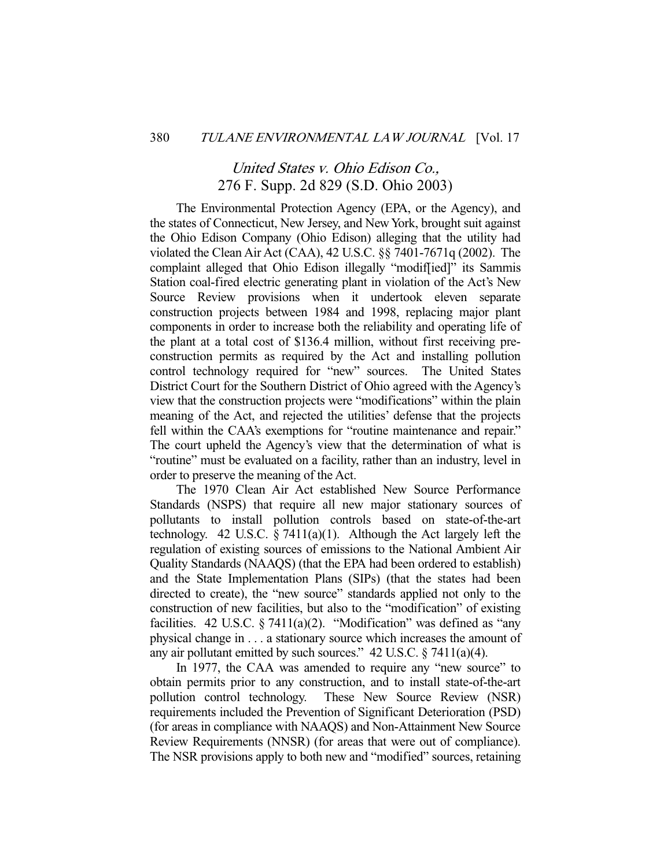# United States v. Ohio Edison Co., 276 F. Supp. 2d 829 (S.D. Ohio 2003)

 The Environmental Protection Agency (EPA, or the Agency), and the states of Connecticut, New Jersey, and New York, brought suit against the Ohio Edison Company (Ohio Edison) alleging that the utility had violated the Clean Air Act (CAA), 42 U.S.C. §§ 7401-7671q (2002). The complaint alleged that Ohio Edison illegally "modif[ied]" its Sammis Station coal-fired electric generating plant in violation of the Act's New Source Review provisions when it undertook eleven separate construction projects between 1984 and 1998, replacing major plant components in order to increase both the reliability and operating life of the plant at a total cost of \$136.4 million, without first receiving preconstruction permits as required by the Act and installing pollution control technology required for "new" sources. The United States District Court for the Southern District of Ohio agreed with the Agency's view that the construction projects were "modifications" within the plain meaning of the Act, and rejected the utilities' defense that the projects fell within the CAA's exemptions for "routine maintenance and repair." The court upheld the Agency's view that the determination of what is "routine" must be evaluated on a facility, rather than an industry, level in order to preserve the meaning of the Act.

 The 1970 Clean Air Act established New Source Performance Standards (NSPS) that require all new major stationary sources of pollutants to install pollution controls based on state-of-the-art technology. 42 U.S.C.  $\S 7411(a)(1)$ . Although the Act largely left the regulation of existing sources of emissions to the National Ambient Air Quality Standards (NAAQS) (that the EPA had been ordered to establish) and the State Implementation Plans (SIPs) (that the states had been directed to create), the "new source" standards applied not only to the construction of new facilities, but also to the "modification" of existing facilities. 42 U.S.C.  $\S 7411(a)(2)$ . "Modification" was defined as "any physical change in . . . a stationary source which increases the amount of any air pollutant emitted by such sources." 42 U.S.C. § 7411(a)(4).

 In 1977, the CAA was amended to require any "new source" to obtain permits prior to any construction, and to install state-of-the-art pollution control technology. These New Source Review (NSR) requirements included the Prevention of Significant Deterioration (PSD) (for areas in compliance with NAAQS) and Non-Attainment New Source Review Requirements (NNSR) (for areas that were out of compliance). The NSR provisions apply to both new and "modified" sources, retaining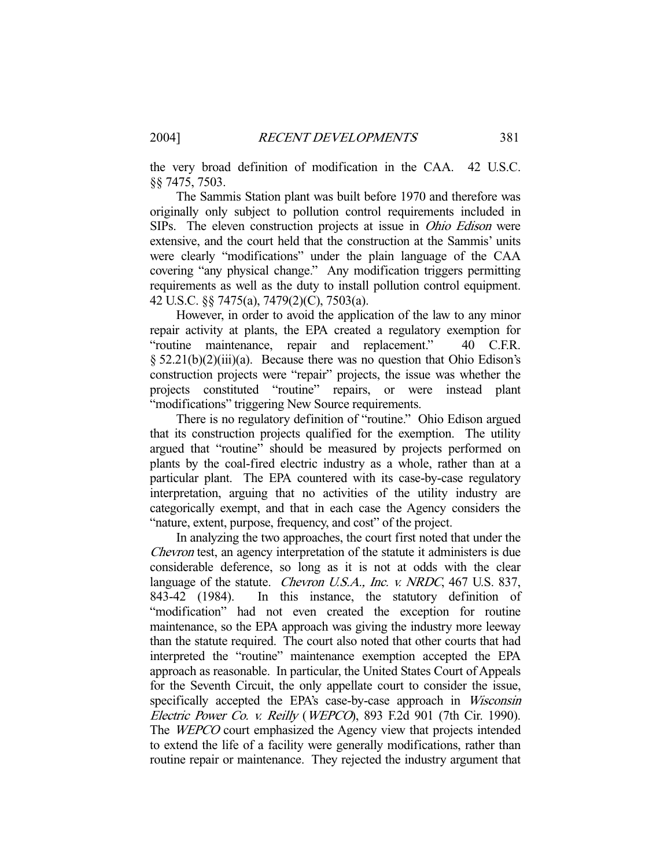the very broad definition of modification in the CAA. 42 U.S.C. §§ 7475, 7503.

 The Sammis Station plant was built before 1970 and therefore was originally only subject to pollution control requirements included in SIPs. The eleven construction projects at issue in Ohio Edison were extensive, and the court held that the construction at the Sammis' units were clearly "modifications" under the plain language of the CAA covering "any physical change." Any modification triggers permitting requirements as well as the duty to install pollution control equipment. 42 U.S.C. §§ 7475(a), 7479(2)(C), 7503(a).

 However, in order to avoid the application of the law to any minor repair activity at plants, the EPA created a regulatory exemption for "routine maintenance, repair and replacement." 40 C.F.R. § 52.21(b)(2)(iii)(a). Because there was no question that Ohio Edison's construction projects were "repair" projects, the issue was whether the projects constituted "routine" repairs, or were instead plant "modifications" triggering New Source requirements.

 There is no regulatory definition of "routine." Ohio Edison argued that its construction projects qualified for the exemption. The utility argued that "routine" should be measured by projects performed on plants by the coal-fired electric industry as a whole, rather than at a particular plant. The EPA countered with its case-by-case regulatory interpretation, arguing that no activities of the utility industry are categorically exempt, and that in each case the Agency considers the "nature, extent, purpose, frequency, and cost" of the project.

 In analyzing the two approaches, the court first noted that under the Chevron test, an agency interpretation of the statute it administers is due considerable deference, so long as it is not at odds with the clear language of the statute. *Chevron U.S.A.*, *Inc. v. NRDC*, 467 U.S. 837, 843-42 (1984). In this instance, the statutory definition of "modification" had not even created the exception for routine maintenance, so the EPA approach was giving the industry more leeway than the statute required. The court also noted that other courts that had interpreted the "routine" maintenance exemption accepted the EPA approach as reasonable. In particular, the United States Court of Appeals for the Seventh Circuit, the only appellate court to consider the issue, specifically accepted the EPA's case-by-case approach in Wisconsin Electric Power Co. v. Reilly (WEPCO), 893 F.2d 901 (7th Cir. 1990). The WEPCO court emphasized the Agency view that projects intended to extend the life of a facility were generally modifications, rather than routine repair or maintenance. They rejected the industry argument that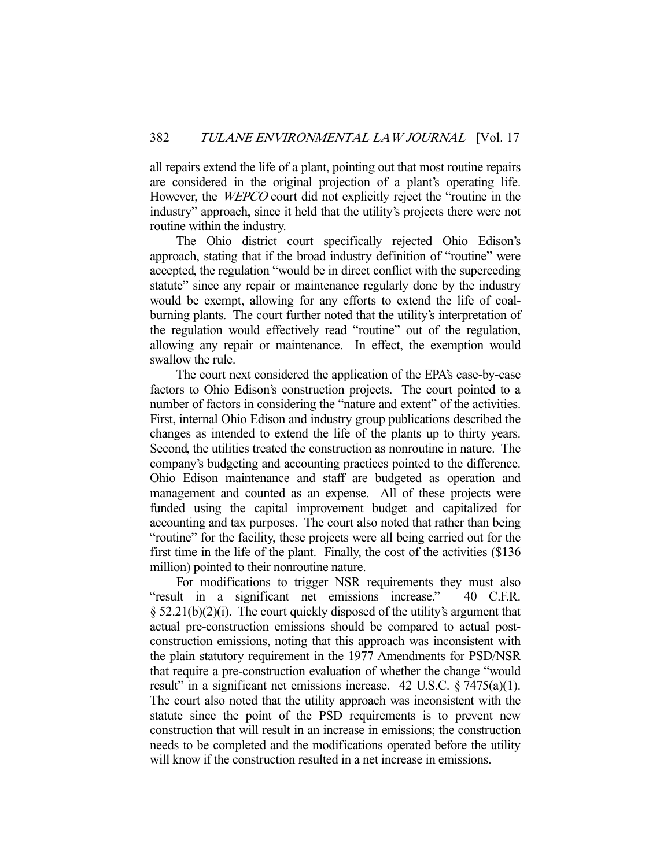all repairs extend the life of a plant, pointing out that most routine repairs are considered in the original projection of a plant's operating life. However, the WEPCO court did not explicitly reject the "routine in the industry" approach, since it held that the utility's projects there were not routine within the industry.

 The Ohio district court specifically rejected Ohio Edison's approach, stating that if the broad industry definition of "routine" were accepted, the regulation "would be in direct conflict with the superceding statute" since any repair or maintenance regularly done by the industry would be exempt, allowing for any efforts to extend the life of coalburning plants. The court further noted that the utility's interpretation of the regulation would effectively read "routine" out of the regulation, allowing any repair or maintenance. In effect, the exemption would swallow the rule.

 The court next considered the application of the EPA's case-by-case factors to Ohio Edison's construction projects. The court pointed to a number of factors in considering the "nature and extent" of the activities. First, internal Ohio Edison and industry group publications described the changes as intended to extend the life of the plants up to thirty years. Second, the utilities treated the construction as nonroutine in nature. The company's budgeting and accounting practices pointed to the difference. Ohio Edison maintenance and staff are budgeted as operation and management and counted as an expense. All of these projects were funded using the capital improvement budget and capitalized for accounting and tax purposes. The court also noted that rather than being "routine" for the facility, these projects were all being carried out for the first time in the life of the plant. Finally, the cost of the activities (\$136 million) pointed to their nonroutine nature.

 For modifications to trigger NSR requirements they must also "result in a significant net emissions increase." 40 C.F.R.  $§ 52.21(b)(2)(i)$ . The court quickly disposed of the utility's argument that actual pre-construction emissions should be compared to actual postconstruction emissions, noting that this approach was inconsistent with the plain statutory requirement in the 1977 Amendments for PSD/NSR that require a pre-construction evaluation of whether the change "would result" in a significant net emissions increase.  $42 \text{ U.S.C.} \$  $7475(a)(1)$ . The court also noted that the utility approach was inconsistent with the statute since the point of the PSD requirements is to prevent new construction that will result in an increase in emissions; the construction needs to be completed and the modifications operated before the utility will know if the construction resulted in a net increase in emissions.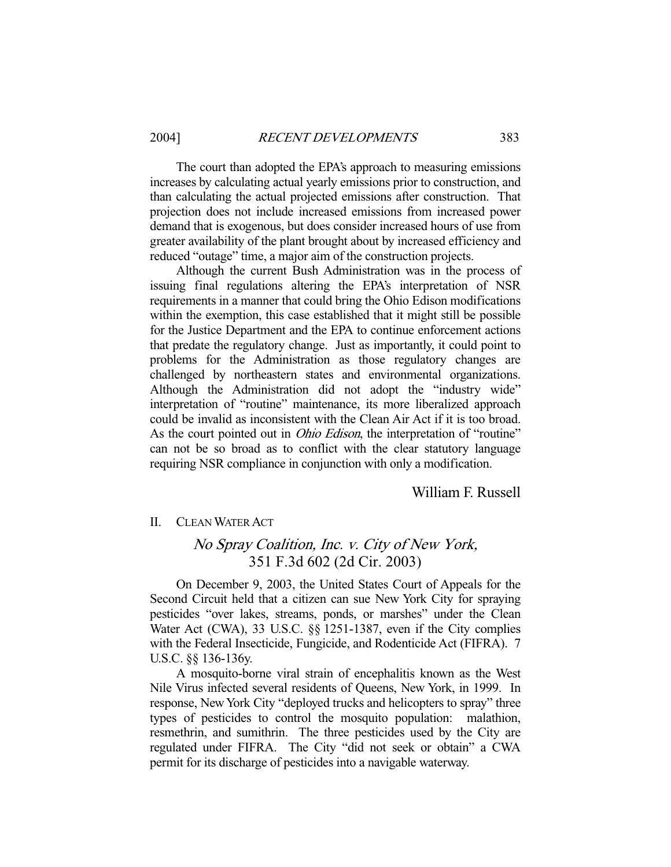The court than adopted the EPA's approach to measuring emissions increases by calculating actual yearly emissions prior to construction, and than calculating the actual projected emissions after construction. That projection does not include increased emissions from increased power demand that is exogenous, but does consider increased hours of use from greater availability of the plant brought about by increased efficiency and reduced "outage" time, a major aim of the construction projects.

 Although the current Bush Administration was in the process of issuing final regulations altering the EPA's interpretation of NSR requirements in a manner that could bring the Ohio Edison modifications within the exemption, this case established that it might still be possible for the Justice Department and the EPA to continue enforcement actions that predate the regulatory change. Just as importantly, it could point to problems for the Administration as those regulatory changes are challenged by northeastern states and environmental organizations. Although the Administration did not adopt the "industry wide" interpretation of "routine" maintenance, its more liberalized approach could be invalid as inconsistent with the Clean Air Act if it is too broad. As the court pointed out in *Ohio Edison*, the interpretation of "routine" can not be so broad as to conflict with the clear statutory language requiring NSR compliance in conjunction with only a modification.

### William F. Russell

### II. CLEAN WATER ACT

# No Spray Coalition, Inc. v. City of New York, 351 F.3d 602 (2d Cir. 2003)

 On December 9, 2003, the United States Court of Appeals for the Second Circuit held that a citizen can sue New York City for spraying pesticides "over lakes, streams, ponds, or marshes" under the Clean Water Act (CWA), 33 U.S.C. §§ 1251-1387, even if the City complies with the Federal Insecticide, Fungicide, and Rodenticide Act (FIFRA). 7 U.S.C. §§ 136-136y.

 A mosquito-borne viral strain of encephalitis known as the West Nile Virus infected several residents of Queens, New York, in 1999. In response, New York City "deployed trucks and helicopters to spray" three types of pesticides to control the mosquito population: malathion, resmethrin, and sumithrin. The three pesticides used by the City are regulated under FIFRA. The City "did not seek or obtain" a CWA permit for its discharge of pesticides into a navigable waterway.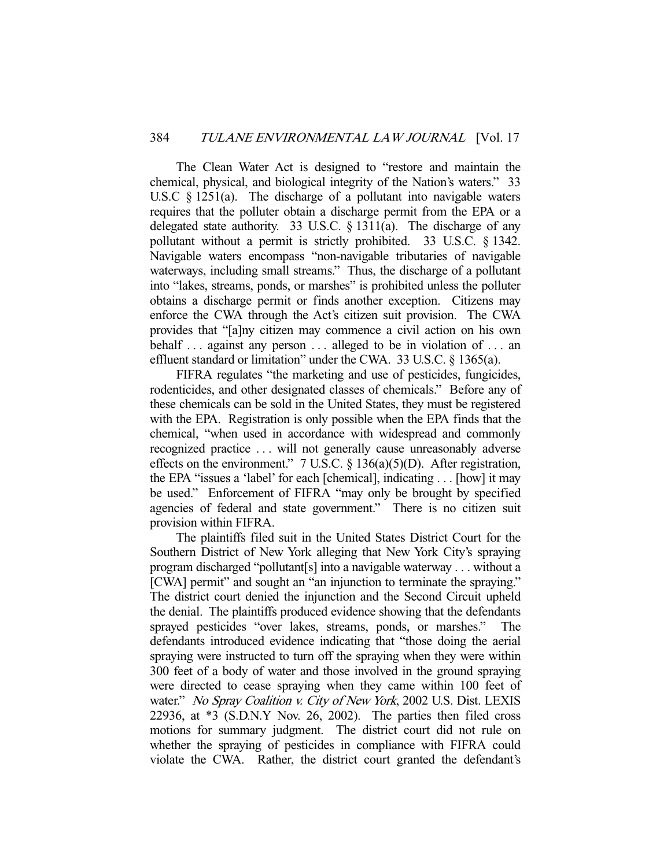The Clean Water Act is designed to "restore and maintain the chemical, physical, and biological integrity of the Nation's waters." 33 U.S.C § 1251(a). The discharge of a pollutant into navigable waters requires that the polluter obtain a discharge permit from the EPA or a delegated state authority. 33 U.S.C. § 1311(a). The discharge of any pollutant without a permit is strictly prohibited. 33 U.S.C. § 1342. Navigable waters encompass "non-navigable tributaries of navigable waterways, including small streams." Thus, the discharge of a pollutant into "lakes, streams, ponds, or marshes" is prohibited unless the polluter obtains a discharge permit or finds another exception. Citizens may enforce the CWA through the Act's citizen suit provision. The CWA provides that "[a]ny citizen may commence a civil action on his own behalf ... against any person ... alleged to be in violation of ... an effluent standard or limitation" under the CWA. 33 U.S.C. § 1365(a).

 FIFRA regulates "the marketing and use of pesticides, fungicides, rodenticides, and other designated classes of chemicals." Before any of these chemicals can be sold in the United States, they must be registered with the EPA. Registration is only possible when the EPA finds that the chemical, "when used in accordance with widespread and commonly recognized practice . . . will not generally cause unreasonably adverse effects on the environment." 7 U.S.C.  $\S$  136(a)(5)(D). After registration, the EPA "issues a 'label' for each [chemical], indicating . . . [how] it may be used." Enforcement of FIFRA "may only be brought by specified agencies of federal and state government." There is no citizen suit provision within FIFRA.

 The plaintiffs filed suit in the United States District Court for the Southern District of New York alleging that New York City's spraying program discharged "pollutant[s] into a navigable waterway . . . without a [CWA] permit" and sought an "an injunction to terminate the spraying." The district court denied the injunction and the Second Circuit upheld the denial. The plaintiffs produced evidence showing that the defendants sprayed pesticides "over lakes, streams, ponds, or marshes." The defendants introduced evidence indicating that "those doing the aerial spraying were instructed to turn off the spraying when they were within 300 feet of a body of water and those involved in the ground spraying were directed to cease spraying when they came within 100 feet of water." No Spray Coalition v. City of New York, 2002 U.S. Dist. LEXIS 22936, at \*3 (S.D.N.Y Nov. 26, 2002). The parties then filed cross motions for summary judgment. The district court did not rule on whether the spraying of pesticides in compliance with FIFRA could violate the CWA. Rather, the district court granted the defendant's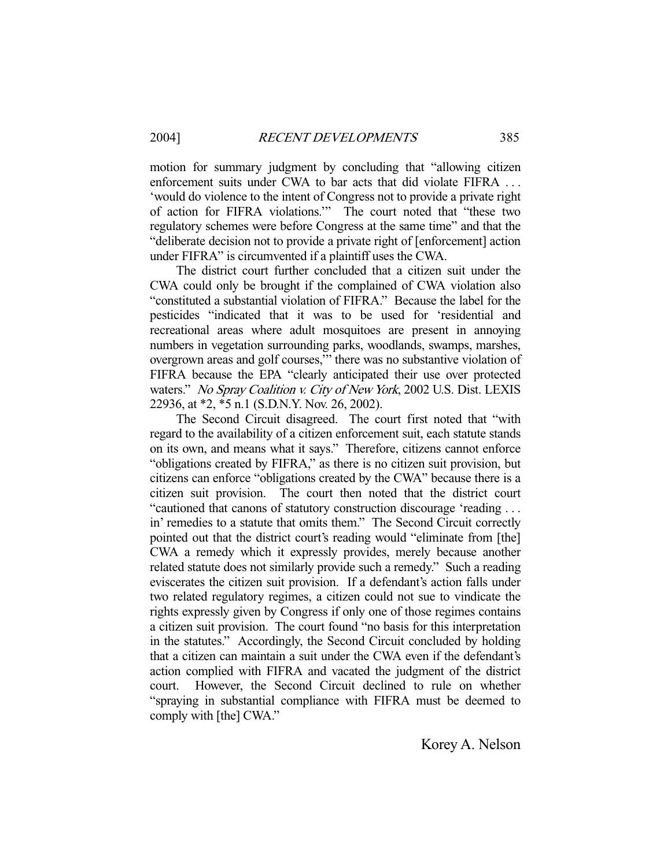motion for summary judgment by concluding that "allowing citizen enforcement suits under CWA to bar acts that did violate FIFRA ... 'would do violence to the intent of Congress not to provide a private right of action for FIFRA violations.'" The court noted that "these two regulatory schemes were before Congress at the same time" and that the "deliberate decision not to provide a private right of [enforcement] action under FIFRA" is circumvented if a plaintiff uses the CWA.

 The district court further concluded that a citizen suit under the CWA could only be brought if the complained of CWA violation also "constituted a substantial violation of FIFRA." Because the label for the pesticides "indicated that it was to be used for 'residential and recreational areas where adult mosquitoes are present in annoying numbers in vegetation surrounding parks, woodlands, swamps, marshes, overgrown areas and golf courses,'" there was no substantive violation of FIFRA because the EPA "clearly anticipated their use over protected waters." No Spray Coalition v. City of New York, 2002 U.S. Dist. LEXIS 22936, at \*2, \*5 n.1 (S.D.N.Y. Nov. 26, 2002).

 The Second Circuit disagreed. The court first noted that "with regard to the availability of a citizen enforcement suit, each statute stands on its own, and means what it says." Therefore, citizens cannot enforce "obligations created by FIFRA," as there is no citizen suit provision, but citizens can enforce "obligations created by the CWA" because there is a citizen suit provision. The court then noted that the district court "cautioned that canons of statutory construction discourage 'reading . . . in' remedies to a statute that omits them." The Second Circuit correctly pointed out that the district court's reading would "eliminate from [the] CWA a remedy which it expressly provides, merely because another related statute does not similarly provide such a remedy." Such a reading eviscerates the citizen suit provision. If a defendant's action falls under two related regulatory regimes, a citizen could not sue to vindicate the rights expressly given by Congress if only one of those regimes contains a citizen suit provision. The court found "no basis for this interpretation in the statutes." Accordingly, the Second Circuit concluded by holding that a citizen can maintain a suit under the CWA even if the defendant's action complied with FIFRA and vacated the judgment of the district court. However, the Second Circuit declined to rule on whether "spraying in substantial compliance with FIFRA must be deemed to comply with [the] CWA."

Korey A. Nelson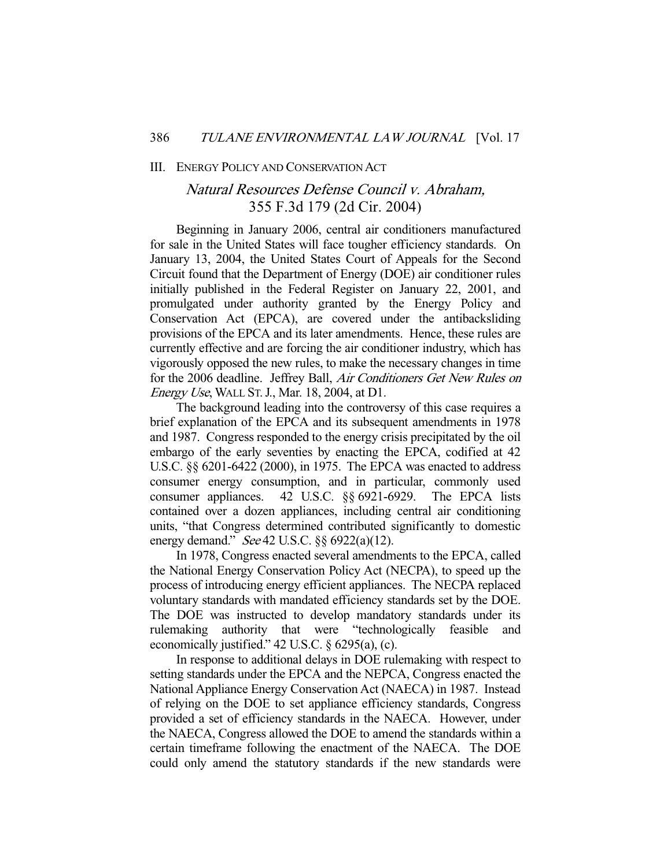#### III. ENERGY POLICY AND CONSERVATION ACT

# Natural Resources Defense Council v. Abraham, 355 F.3d 179 (2d Cir. 2004)

 Beginning in January 2006, central air conditioners manufactured for sale in the United States will face tougher efficiency standards. On January 13, 2004, the United States Court of Appeals for the Second Circuit found that the Department of Energy (DOE) air conditioner rules initially published in the Federal Register on January 22, 2001, and promulgated under authority granted by the Energy Policy and Conservation Act (EPCA), are covered under the antibacksliding provisions of the EPCA and its later amendments. Hence, these rules are currently effective and are forcing the air conditioner industry, which has vigorously opposed the new rules, to make the necessary changes in time for the 2006 deadline. Jeffrey Ball, Air Conditioners Get New Rules on Energy Use, WALL ST.J., Mar. 18, 2004, at D1.

 The background leading into the controversy of this case requires a brief explanation of the EPCA and its subsequent amendments in 1978 and 1987. Congress responded to the energy crisis precipitated by the oil embargo of the early seventies by enacting the EPCA, codified at 42 U.S.C. §§ 6201-6422 (2000), in 1975. The EPCA was enacted to address consumer energy consumption, and in particular, commonly used consumer appliances. 42 U.S.C. §§ 6921-6929. The EPCA lists contained over a dozen appliances, including central air conditioning units, "that Congress determined contributed significantly to domestic energy demand." See 42 U.S.C. §§ 6922(a)(12).

 In 1978, Congress enacted several amendments to the EPCA, called the National Energy Conservation Policy Act (NECPA), to speed up the process of introducing energy efficient appliances. The NECPA replaced voluntary standards with mandated efficiency standards set by the DOE. The DOE was instructed to develop mandatory standards under its rulemaking authority that were "technologically feasible and economically justified." 42 U.S.C. § 6295(a), (c).

 In response to additional delays in DOE rulemaking with respect to setting standards under the EPCA and the NEPCA, Congress enacted the National Appliance Energy Conservation Act (NAECA) in 1987. Instead of relying on the DOE to set appliance efficiency standards, Congress provided a set of efficiency standards in the NAECA. However, under the NAECA, Congress allowed the DOE to amend the standards within a certain timeframe following the enactment of the NAECA. The DOE could only amend the statutory standards if the new standards were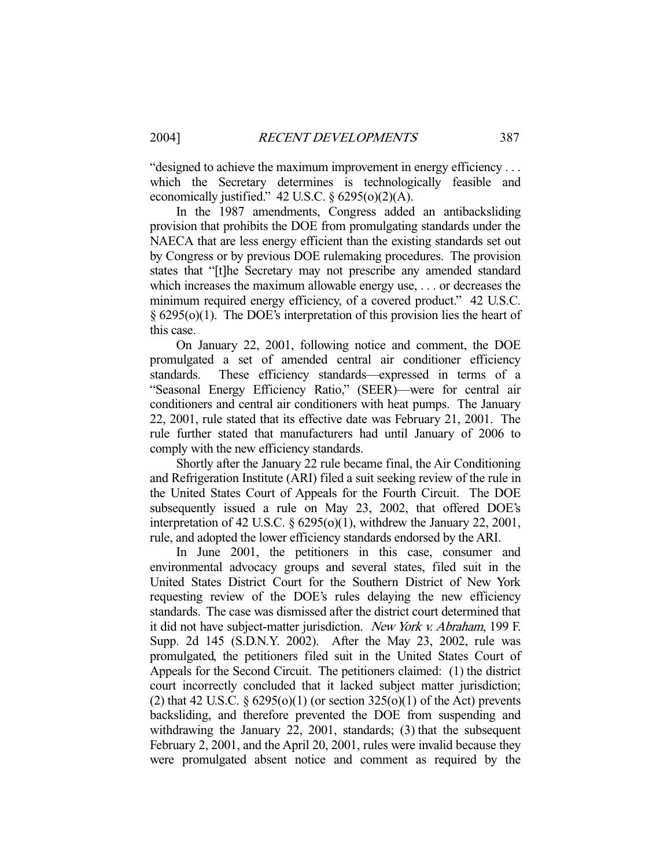"designed to achieve the maximum improvement in energy efficiency . . . which the Secretary determines is technologically feasible and economically justified."  $42$  U.S.C.  $\S$  6295(o)(2)(A).

 In the 1987 amendments, Congress added an antibacksliding provision that prohibits the DOE from promulgating standards under the NAECA that are less energy efficient than the existing standards set out by Congress or by previous DOE rulemaking procedures. The provision states that "[t]he Secretary may not prescribe any amended standard which increases the maximum allowable energy use, . . . or decreases the minimum required energy efficiency, of a covered product." 42 U.S.C. § 6295(o)(1). The DOE's interpretation of this provision lies the heart of this case.

 On January 22, 2001, following notice and comment, the DOE promulgated a set of amended central air conditioner efficiency standards. These efficiency standards—expressed in terms of a "Seasonal Energy Efficiency Ratio," (SEER)—were for central air conditioners and central air conditioners with heat pumps. The January 22, 2001, rule stated that its effective date was February 21, 2001. The rule further stated that manufacturers had until January of 2006 to comply with the new efficiency standards.

 Shortly after the January 22 rule became final, the Air Conditioning and Refrigeration Institute (ARI) filed a suit seeking review of the rule in the United States Court of Appeals for the Fourth Circuit. The DOE subsequently issued a rule on May 23, 2002, that offered DOE's interpretation of 42 U.S.C. § 6295(o)(1), withdrew the January 22, 2001, rule, and adopted the lower efficiency standards endorsed by the ARI.

 In June 2001, the petitioners in this case, consumer and environmental advocacy groups and several states, filed suit in the United States District Court for the Southern District of New York requesting review of the DOE's rules delaying the new efficiency standards. The case was dismissed after the district court determined that it did not have subject-matter jurisdiction. New York v. Abraham, 199 F. Supp. 2d 145 (S.D.N.Y. 2002). After the May 23, 2002, rule was promulgated, the petitioners filed suit in the United States Court of Appeals for the Second Circuit. The petitioners claimed: (1) the district court incorrectly concluded that it lacked subject matter jurisdiction; (2) that 42 U.S.C.  $\S$  6295(o)(1) (or section 325(o)(1) of the Act) prevents backsliding, and therefore prevented the DOE from suspending and withdrawing the January 22, 2001, standards; (3) that the subsequent February 2, 2001, and the April 20, 2001, rules were invalid because they were promulgated absent notice and comment as required by the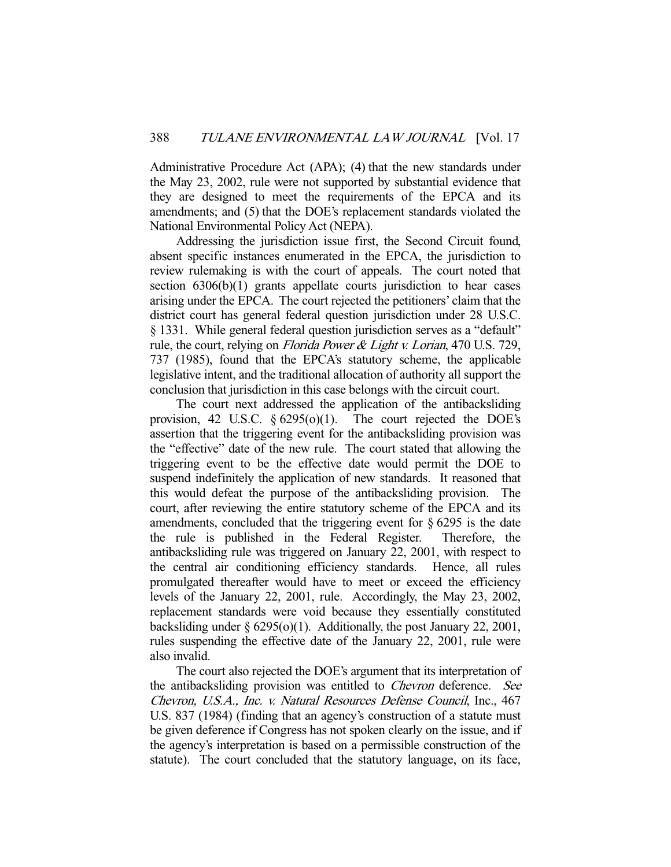Administrative Procedure Act (APA); (4) that the new standards under the May 23, 2002, rule were not supported by substantial evidence that they are designed to meet the requirements of the EPCA and its amendments; and (5) that the DOE's replacement standards violated the National Environmental Policy Act (NEPA).

 Addressing the jurisdiction issue first, the Second Circuit found, absent specific instances enumerated in the EPCA, the jurisdiction to review rulemaking is with the court of appeals. The court noted that section 6306(b)(1) grants appellate courts jurisdiction to hear cases arising under the EPCA. The court rejected the petitioners' claim that the district court has general federal question jurisdiction under 28 U.S.C. § 1331. While general federal question jurisdiction serves as a "default" rule, the court, relying on *Florida Power & Light v. Lorian*, 470 U.S. 729, 737 (1985), found that the EPCA's statutory scheme, the applicable legislative intent, and the traditional allocation of authority all support the conclusion that jurisdiction in this case belongs with the circuit court.

 The court next addressed the application of the antibacksliding provision, 42 U.S.C.  $\S 6295(0)(1)$ . The court rejected the DOE's assertion that the triggering event for the antibacksliding provision was the "effective" date of the new rule. The court stated that allowing the triggering event to be the effective date would permit the DOE to suspend indefinitely the application of new standards. It reasoned that this would defeat the purpose of the antibacksliding provision. The court, after reviewing the entire statutory scheme of the EPCA and its amendments, concluded that the triggering event for  $\S 6295$  is the date the rule is published in the Federal Register. Therefore, the antibacksliding rule was triggered on January 22, 2001, with respect to the central air conditioning efficiency standards. Hence, all rules promulgated thereafter would have to meet or exceed the efficiency levels of the January 22, 2001, rule. Accordingly, the May 23, 2002, replacement standards were void because they essentially constituted backsliding under § 6295(o)(1). Additionally, the post January 22, 2001, rules suspending the effective date of the January 22, 2001, rule were also invalid.

 The court also rejected the DOE's argument that its interpretation of the antibacksliding provision was entitled to *Chevron* deference. See Chevron, U.S.A., Inc. v. Natural Resources Defense Council, Inc., 467 U.S. 837 (1984) (finding that an agency's construction of a statute must be given deference if Congress has not spoken clearly on the issue, and if the agency's interpretation is based on a permissible construction of the statute). The court concluded that the statutory language, on its face,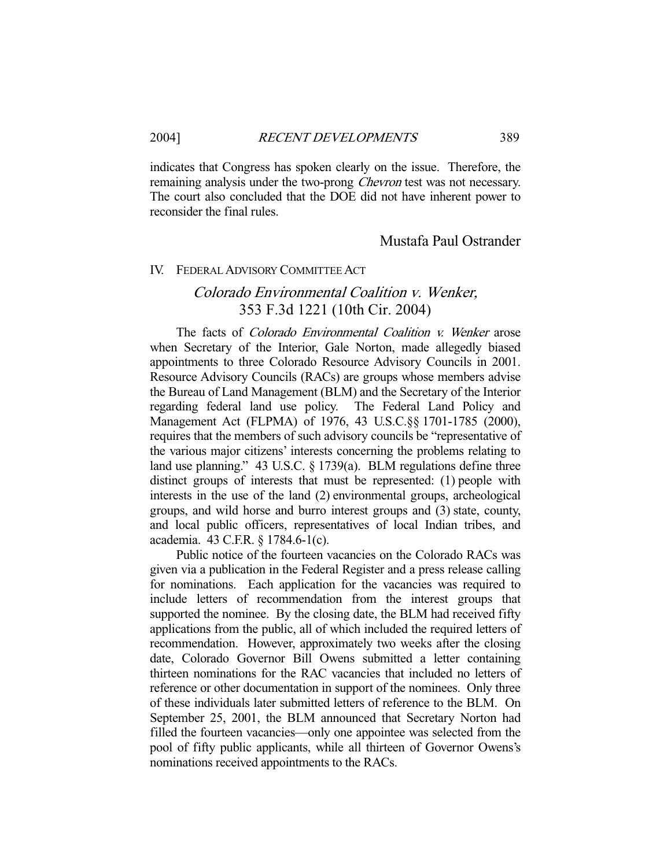indicates that Congress has spoken clearly on the issue. Therefore, the remaining analysis under the two-prong *Chevron* test was not necessary. The court also concluded that the DOE did not have inherent power to reconsider the final rules.

### Mustafa Paul Ostrander

### IV. FEDERAL ADVISORY COMMITTEE ACT

# Colorado Environmental Coalition v. Wenker, 353 F.3d 1221 (10th Cir. 2004)

The facts of *Colorado Environmental Coalition v. Wenker* arose when Secretary of the Interior, Gale Norton, made allegedly biased appointments to three Colorado Resource Advisory Councils in 2001. Resource Advisory Councils (RACs) are groups whose members advise the Bureau of Land Management (BLM) and the Secretary of the Interior regarding federal land use policy. The Federal Land Policy and Management Act (FLPMA) of 1976, 43 U.S.C.§§ 1701-1785 (2000), requires that the members of such advisory councils be "representative of the various major citizens' interests concerning the problems relating to land use planning." 43 U.S.C. § 1739(a). BLM regulations define three distinct groups of interests that must be represented: (1) people with interests in the use of the land (2) environmental groups, archeological groups, and wild horse and burro interest groups and (3) state, county, and local public officers, representatives of local Indian tribes, and academia. 43 C.F.R. § 1784.6-1(c).

 Public notice of the fourteen vacancies on the Colorado RACs was given via a publication in the Federal Register and a press release calling for nominations. Each application for the vacancies was required to include letters of recommendation from the interest groups that supported the nominee. By the closing date, the BLM had received fifty applications from the public, all of which included the required letters of recommendation. However, approximately two weeks after the closing date, Colorado Governor Bill Owens submitted a letter containing thirteen nominations for the RAC vacancies that included no letters of reference or other documentation in support of the nominees. Only three of these individuals later submitted letters of reference to the BLM. On September 25, 2001, the BLM announced that Secretary Norton had filled the fourteen vacancies—only one appointee was selected from the pool of fifty public applicants, while all thirteen of Governor Owens's nominations received appointments to the RACs.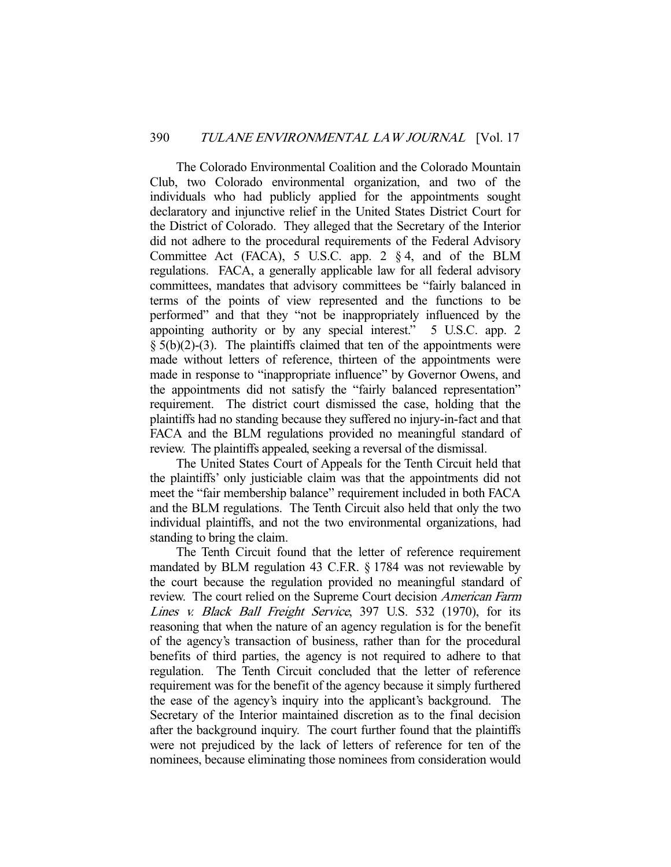The Colorado Environmental Coalition and the Colorado Mountain Club, two Colorado environmental organization, and two of the individuals who had publicly applied for the appointments sought declaratory and injunctive relief in the United States District Court for the District of Colorado. They alleged that the Secretary of the Interior did not adhere to the procedural requirements of the Federal Advisory Committee Act (FACA), 5 U.S.C. app. 2 § 4, and of the BLM regulations. FACA, a generally applicable law for all federal advisory committees, mandates that advisory committees be "fairly balanced in terms of the points of view represented and the functions to be performed" and that they "not be inappropriately influenced by the appointing authority or by any special interest." 5 U.S.C. app. 2  $§$  5(b)(2)-(3). The plaintiffs claimed that ten of the appointments were made without letters of reference, thirteen of the appointments were made in response to "inappropriate influence" by Governor Owens, and the appointments did not satisfy the "fairly balanced representation" requirement. The district court dismissed the case, holding that the plaintiffs had no standing because they suffered no injury-in-fact and that FACA and the BLM regulations provided no meaningful standard of review. The plaintiffs appealed, seeking a reversal of the dismissal.

 The United States Court of Appeals for the Tenth Circuit held that the plaintiffs' only justiciable claim was that the appointments did not meet the "fair membership balance" requirement included in both FACA and the BLM regulations. The Tenth Circuit also held that only the two individual plaintiffs, and not the two environmental organizations, had standing to bring the claim.

 The Tenth Circuit found that the letter of reference requirement mandated by BLM regulation 43 C.F.R. § 1784 was not reviewable by the court because the regulation provided no meaningful standard of review. The court relied on the Supreme Court decision American Farm Lines v. Black Ball Freight Service, 397 U.S. 532 (1970), for its reasoning that when the nature of an agency regulation is for the benefit of the agency's transaction of business, rather than for the procedural benefits of third parties, the agency is not required to adhere to that regulation. The Tenth Circuit concluded that the letter of reference requirement was for the benefit of the agency because it simply furthered the ease of the agency's inquiry into the applicant's background. The Secretary of the Interior maintained discretion as to the final decision after the background inquiry. The court further found that the plaintiffs were not prejudiced by the lack of letters of reference for ten of the nominees, because eliminating those nominees from consideration would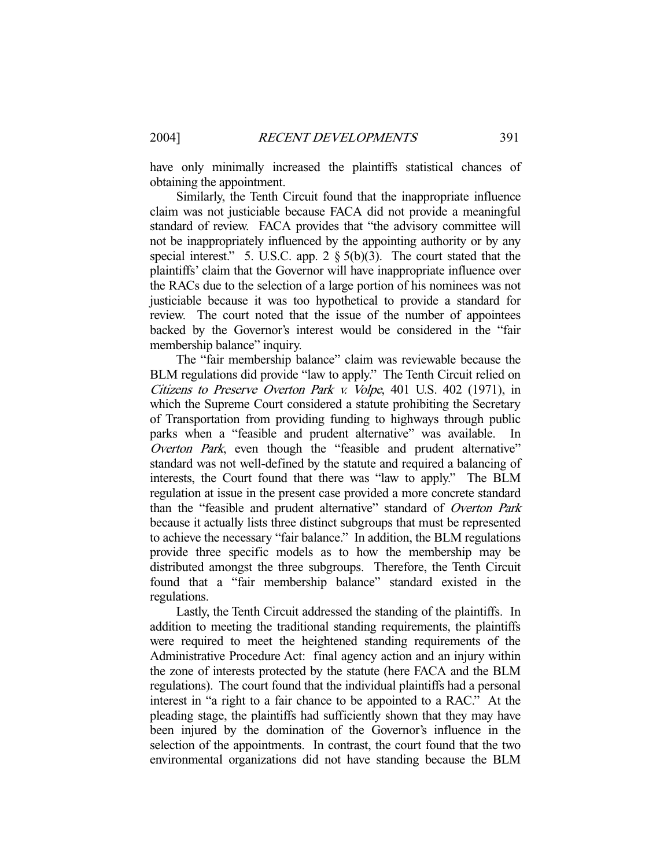have only minimally increased the plaintiffs statistical chances of obtaining the appointment.

 Similarly, the Tenth Circuit found that the inappropriate influence claim was not justiciable because FACA did not provide a meaningful standard of review. FACA provides that "the advisory committee will not be inappropriately influenced by the appointing authority or by any special interest." 5. U.S.C. app. 2  $\S$  5(b)(3). The court stated that the plaintiffs' claim that the Governor will have inappropriate influence over the RACs due to the selection of a large portion of his nominees was not justiciable because it was too hypothetical to provide a standard for review. The court noted that the issue of the number of appointees backed by the Governor's interest would be considered in the "fair membership balance" inquiry.

 The "fair membership balance" claim was reviewable because the BLM regulations did provide "law to apply." The Tenth Circuit relied on Citizens to Preserve Overton Park v. Volpe, 401 U.S. 402 (1971), in which the Supreme Court considered a statute prohibiting the Secretary of Transportation from providing funding to highways through public parks when a "feasible and prudent alternative" was available. In Overton Park, even though the "feasible and prudent alternative" standard was not well-defined by the statute and required a balancing of interests, the Court found that there was "law to apply." The BLM regulation at issue in the present case provided a more concrete standard than the "feasible and prudent alternative" standard of Overton Park because it actually lists three distinct subgroups that must be represented to achieve the necessary "fair balance." In addition, the BLM regulations provide three specific models as to how the membership may be distributed amongst the three subgroups. Therefore, the Tenth Circuit found that a "fair membership balance" standard existed in the regulations.

 Lastly, the Tenth Circuit addressed the standing of the plaintiffs. In addition to meeting the traditional standing requirements, the plaintiffs were required to meet the heightened standing requirements of the Administrative Procedure Act: final agency action and an injury within the zone of interests protected by the statute (here FACA and the BLM regulations). The court found that the individual plaintiffs had a personal interest in "a right to a fair chance to be appointed to a RAC." At the pleading stage, the plaintiffs had sufficiently shown that they may have been injured by the domination of the Governor's influence in the selection of the appointments. In contrast, the court found that the two environmental organizations did not have standing because the BLM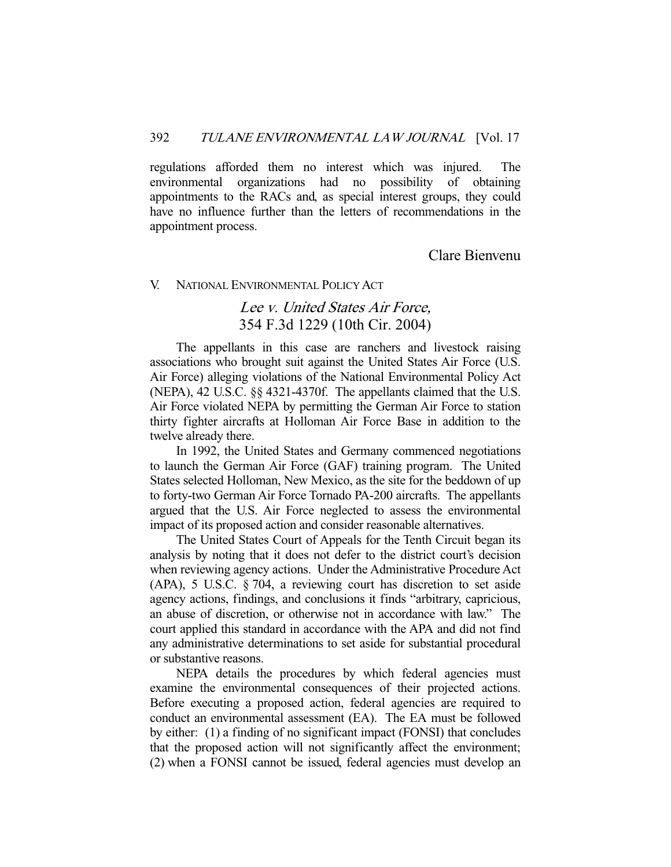regulations afforded them no interest which was injured. The environmental organizations had no possibility of obtaining appointments to the RACs and, as special interest groups, they could have no influence further than the letters of recommendations in the appointment process.

Clare Bienvenu

### V. NATIONAL ENVIRONMENTAL POLICY ACT

# Lee v. United States Air Force, 354 F.3d 1229 (10th Cir. 2004)

 The appellants in this case are ranchers and livestock raising associations who brought suit against the United States Air Force (U.S. Air Force) alleging violations of the National Environmental Policy Act (NEPA), 42 U.S.C. §§ 4321-4370f. The appellants claimed that the U.S. Air Force violated NEPA by permitting the German Air Force to station thirty fighter aircrafts at Holloman Air Force Base in addition to the twelve already there.

 In 1992, the United States and Germany commenced negotiations to launch the German Air Force (GAF) training program. The United States selected Holloman, New Mexico, as the site for the beddown of up to forty-two German Air Force Tornado PA-200 aircrafts. The appellants argued that the U.S. Air Force neglected to assess the environmental impact of its proposed action and consider reasonable alternatives.

 The United States Court of Appeals for the Tenth Circuit began its analysis by noting that it does not defer to the district court's decision when reviewing agency actions. Under the Administrative Procedure Act (APA), 5 U.S.C. § 704, a reviewing court has discretion to set aside agency actions, findings, and conclusions it finds "arbitrary, capricious, an abuse of discretion, or otherwise not in accordance with law." The court applied this standard in accordance with the APA and did not find any administrative determinations to set aside for substantial procedural or substantive reasons.

 NEPA details the procedures by which federal agencies must examine the environmental consequences of their projected actions. Before executing a proposed action, federal agencies are required to conduct an environmental assessment (EA). The EA must be followed by either: (1) a finding of no significant impact (FONSI) that concludes that the proposed action will not significantly affect the environment; (2) when a FONSI cannot be issued, federal agencies must develop an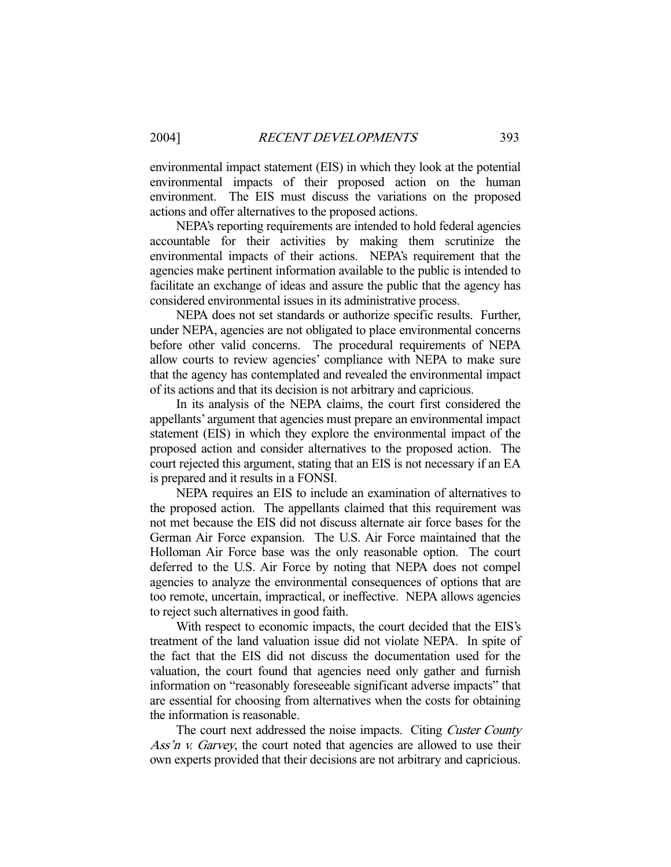environmental impact statement (EIS) in which they look at the potential environmental impacts of their proposed action on the human environment. The EIS must discuss the variations on the proposed actions and offer alternatives to the proposed actions.

 NEPA's reporting requirements are intended to hold federal agencies accountable for their activities by making them scrutinize the environmental impacts of their actions. NEPA's requirement that the agencies make pertinent information available to the public is intended to facilitate an exchange of ideas and assure the public that the agency has considered environmental issues in its administrative process.

 NEPA does not set standards or authorize specific results. Further, under NEPA, agencies are not obligated to place environmental concerns before other valid concerns. The procedural requirements of NEPA allow courts to review agencies' compliance with NEPA to make sure that the agency has contemplated and revealed the environmental impact of its actions and that its decision is not arbitrary and capricious.

 In its analysis of the NEPA claims, the court first considered the appellants' argument that agencies must prepare an environmental impact statement (EIS) in which they explore the environmental impact of the proposed action and consider alternatives to the proposed action. The court rejected this argument, stating that an EIS is not necessary if an EA is prepared and it results in a FONSI.

 NEPA requires an EIS to include an examination of alternatives to the proposed action. The appellants claimed that this requirement was not met because the EIS did not discuss alternate air force bases for the German Air Force expansion. The U.S. Air Force maintained that the Holloman Air Force base was the only reasonable option. The court deferred to the U.S. Air Force by noting that NEPA does not compel agencies to analyze the environmental consequences of options that are too remote, uncertain, impractical, or ineffective. NEPA allows agencies to reject such alternatives in good faith.

 With respect to economic impacts, the court decided that the EIS's treatment of the land valuation issue did not violate NEPA. In spite of the fact that the EIS did not discuss the documentation used for the valuation, the court found that agencies need only gather and furnish information on "reasonably foreseeable significant adverse impacts" that are essential for choosing from alternatives when the costs for obtaining the information is reasonable.

The court next addressed the noise impacts. Citing Custer County Ass'n v. Garvey, the court noted that agencies are allowed to use their own experts provided that their decisions are not arbitrary and capricious.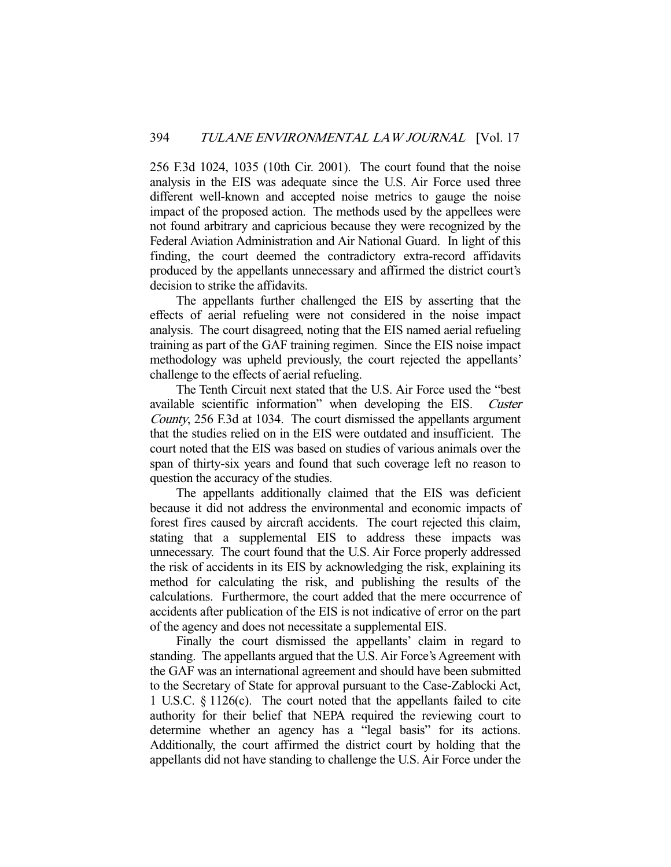256 F.3d 1024, 1035 (10th Cir. 2001). The court found that the noise analysis in the EIS was adequate since the U.S. Air Force used three different well-known and accepted noise metrics to gauge the noise impact of the proposed action. The methods used by the appellees were not found arbitrary and capricious because they were recognized by the Federal Aviation Administration and Air National Guard. In light of this finding, the court deemed the contradictory extra-record affidavits produced by the appellants unnecessary and affirmed the district court's decision to strike the affidavits.

 The appellants further challenged the EIS by asserting that the effects of aerial refueling were not considered in the noise impact analysis. The court disagreed, noting that the EIS named aerial refueling training as part of the GAF training regimen. Since the EIS noise impact methodology was upheld previously, the court rejected the appellants' challenge to the effects of aerial refueling.

 The Tenth Circuit next stated that the U.S. Air Force used the "best available scientific information" when developing the EIS. Custer County, 256 F.3d at 1034. The court dismissed the appellants argument that the studies relied on in the EIS were outdated and insufficient. The court noted that the EIS was based on studies of various animals over the span of thirty-six years and found that such coverage left no reason to question the accuracy of the studies.

 The appellants additionally claimed that the EIS was deficient because it did not address the environmental and economic impacts of forest fires caused by aircraft accidents. The court rejected this claim, stating that a supplemental EIS to address these impacts was unnecessary. The court found that the U.S. Air Force properly addressed the risk of accidents in its EIS by acknowledging the risk, explaining its method for calculating the risk, and publishing the results of the calculations. Furthermore, the court added that the mere occurrence of accidents after publication of the EIS is not indicative of error on the part of the agency and does not necessitate a supplemental EIS.

 Finally the court dismissed the appellants' claim in regard to standing. The appellants argued that the U.S. Air Force's Agreement with the GAF was an international agreement and should have been submitted to the Secretary of State for approval pursuant to the Case-Zablocki Act, 1 U.S.C. § 1126(c). The court noted that the appellants failed to cite authority for their belief that NEPA required the reviewing court to determine whether an agency has a "legal basis" for its actions. Additionally, the court affirmed the district court by holding that the appellants did not have standing to challenge the U.S. Air Force under the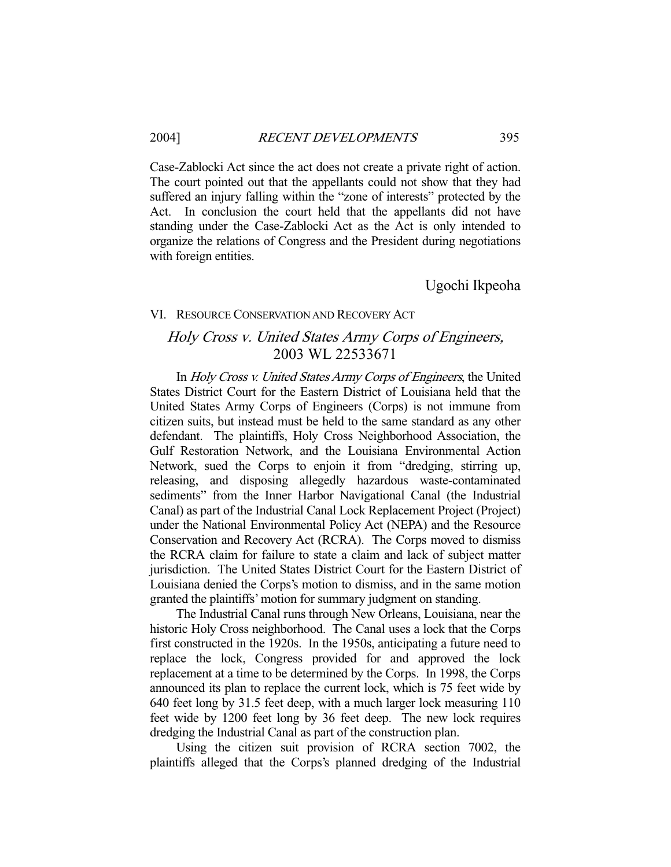Case-Zablocki Act since the act does not create a private right of action. The court pointed out that the appellants could not show that they had suffered an injury falling within the "zone of interests" protected by the Act. In conclusion the court held that the appellants did not have standing under the Case-Zablocki Act as the Act is only intended to organize the relations of Congress and the President during negotiations with foreign entities.

Ugochi Ikpeoha

### VI. RESOURCE CONSERVATION AND RECOVERY ACT

# Holy Cross v. United States Army Corps of Engineers, 2003 WL 22533671

 In Holy Cross v. United States Army Corps of Engineers, the United States District Court for the Eastern District of Louisiana held that the United States Army Corps of Engineers (Corps) is not immune from citizen suits, but instead must be held to the same standard as any other defendant. The plaintiffs, Holy Cross Neighborhood Association, the Gulf Restoration Network, and the Louisiana Environmental Action Network, sued the Corps to enjoin it from "dredging, stirring up, releasing, and disposing allegedly hazardous waste-contaminated sediments" from the Inner Harbor Navigational Canal (the Industrial Canal) as part of the Industrial Canal Lock Replacement Project (Project) under the National Environmental Policy Act (NEPA) and the Resource Conservation and Recovery Act (RCRA). The Corps moved to dismiss the RCRA claim for failure to state a claim and lack of subject matter jurisdiction. The United States District Court for the Eastern District of Louisiana denied the Corps's motion to dismiss, and in the same motion granted the plaintiffs' motion for summary judgment on standing.

 The Industrial Canal runs through New Orleans, Louisiana, near the historic Holy Cross neighborhood. The Canal uses a lock that the Corps first constructed in the 1920s. In the 1950s, anticipating a future need to replace the lock, Congress provided for and approved the lock replacement at a time to be determined by the Corps. In 1998, the Corps announced its plan to replace the current lock, which is 75 feet wide by 640 feet long by 31.5 feet deep, with a much larger lock measuring 110 feet wide by 1200 feet long by 36 feet deep. The new lock requires dredging the Industrial Canal as part of the construction plan.

 Using the citizen suit provision of RCRA section 7002, the plaintiffs alleged that the Corps's planned dredging of the Industrial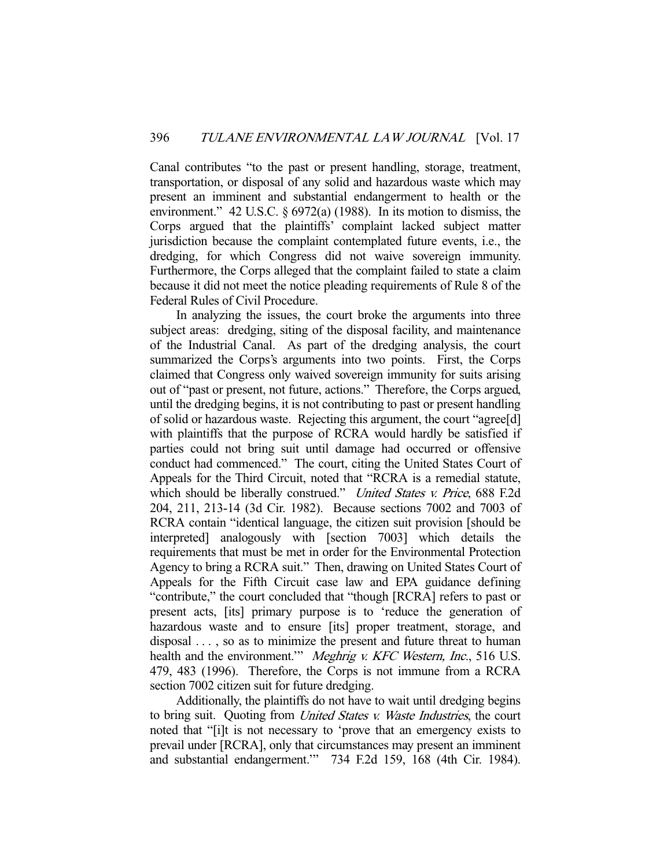Canal contributes "to the past or present handling, storage, treatment, transportation, or disposal of any solid and hazardous waste which may present an imminent and substantial endangerment to health or the environment." 42 U.S.C. § 6972(a) (1988). In its motion to dismiss, the Corps argued that the plaintiffs' complaint lacked subject matter jurisdiction because the complaint contemplated future events, i.e., the dredging, for which Congress did not waive sovereign immunity. Furthermore, the Corps alleged that the complaint failed to state a claim because it did not meet the notice pleading requirements of Rule 8 of the Federal Rules of Civil Procedure.

 In analyzing the issues, the court broke the arguments into three subject areas: dredging, siting of the disposal facility, and maintenance of the Industrial Canal. As part of the dredging analysis, the court summarized the Corps's arguments into two points. First, the Corps claimed that Congress only waived sovereign immunity for suits arising out of "past or present, not future, actions." Therefore, the Corps argued, until the dredging begins, it is not contributing to past or present handling of solid or hazardous waste. Rejecting this argument, the court "agree[d] with plaintiffs that the purpose of RCRA would hardly be satisfied if parties could not bring suit until damage had occurred or offensive conduct had commenced." The court, citing the United States Court of Appeals for the Third Circuit, noted that "RCRA is a remedial statute, which should be liberally construed." United States v. Price, 688 F.2d 204, 211, 213-14 (3d Cir. 1982). Because sections 7002 and 7003 of RCRA contain "identical language, the citizen suit provision [should be interpreted] analogously with [section 7003] which details the requirements that must be met in order for the Environmental Protection Agency to bring a RCRA suit." Then, drawing on United States Court of Appeals for the Fifth Circuit case law and EPA guidance defining "contribute," the court concluded that "though [RCRA] refers to past or present acts, [its] primary purpose is to 'reduce the generation of hazardous waste and to ensure [its] proper treatment, storage, and disposal . . . , so as to minimize the present and future threat to human health and the environment." Meghrig v. KFC Western, Inc., 516 U.S. 479, 483 (1996). Therefore, the Corps is not immune from a RCRA section 7002 citizen suit for future dredging.

 Additionally, the plaintiffs do not have to wait until dredging begins to bring suit. Quoting from United States v. Waste Industries, the court noted that "[i]t is not necessary to 'prove that an emergency exists to prevail under [RCRA], only that circumstances may present an imminent and substantial endangerment.'" 734 F.2d 159, 168 (4th Cir. 1984).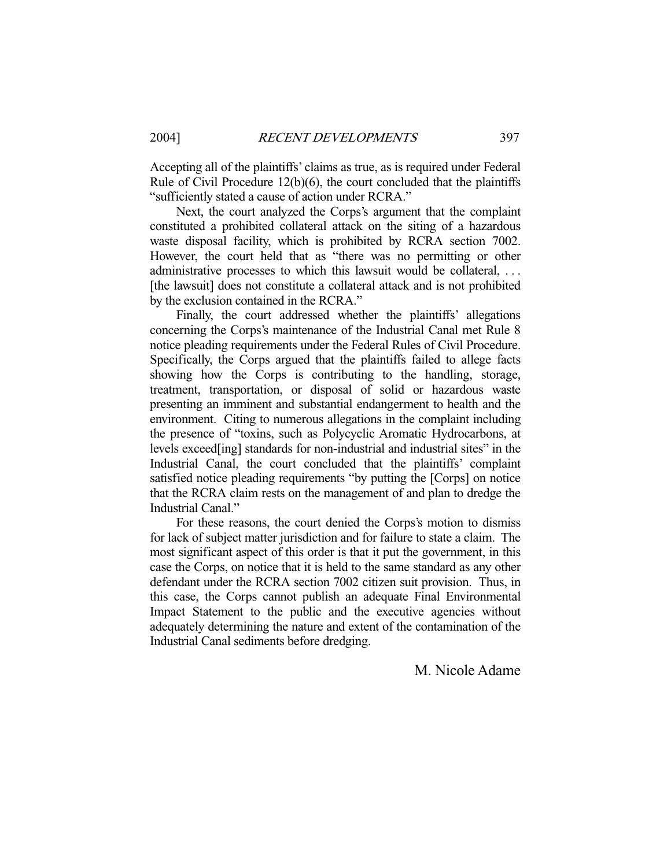Accepting all of the plaintiffs' claims as true, as is required under Federal Rule of Civil Procedure 12(b)(6), the court concluded that the plaintiffs "sufficiently stated a cause of action under RCRA."

 Next, the court analyzed the Corps's argument that the complaint constituted a prohibited collateral attack on the siting of a hazardous waste disposal facility, which is prohibited by RCRA section 7002. However, the court held that as "there was no permitting or other administrative processes to which this lawsuit would be collateral, ... [the lawsuit] does not constitute a collateral attack and is not prohibited by the exclusion contained in the RCRA."

 Finally, the court addressed whether the plaintiffs' allegations concerning the Corps's maintenance of the Industrial Canal met Rule 8 notice pleading requirements under the Federal Rules of Civil Procedure. Specifically, the Corps argued that the plaintiffs failed to allege facts showing how the Corps is contributing to the handling, storage, treatment, transportation, or disposal of solid or hazardous waste presenting an imminent and substantial endangerment to health and the environment. Citing to numerous allegations in the complaint including the presence of "toxins, such as Polycyclic Aromatic Hydrocarbons, at levels exceed[ing] standards for non-industrial and industrial sites" in the Industrial Canal, the court concluded that the plaintiffs' complaint satisfied notice pleading requirements "by putting the [Corps] on notice that the RCRA claim rests on the management of and plan to dredge the Industrial Canal."

 For these reasons, the court denied the Corps's motion to dismiss for lack of subject matter jurisdiction and for failure to state a claim. The most significant aspect of this order is that it put the government, in this case the Corps, on notice that it is held to the same standard as any other defendant under the RCRA section 7002 citizen suit provision. Thus, in this case, the Corps cannot publish an adequate Final Environmental Impact Statement to the public and the executive agencies without adequately determining the nature and extent of the contamination of the Industrial Canal sediments before dredging.

M. Nicole Adame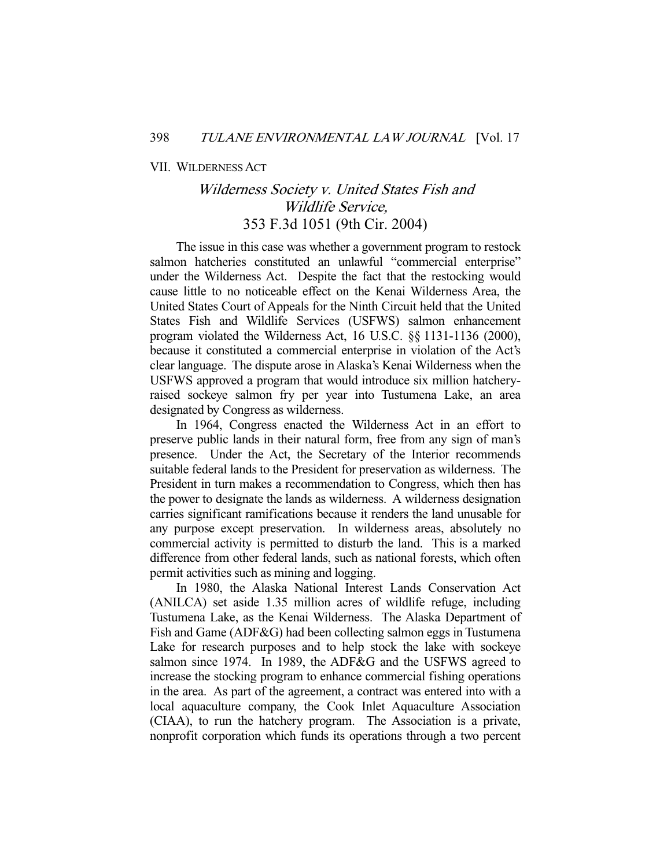#### VII. WILDERNESS ACT

# Wilderness Society v. United States Fish and Wildlife Service, 353 F.3d 1051 (9th Cir. 2004)

 The issue in this case was whether a government program to restock salmon hatcheries constituted an unlawful "commercial enterprise" under the Wilderness Act. Despite the fact that the restocking would cause little to no noticeable effect on the Kenai Wilderness Area, the United States Court of Appeals for the Ninth Circuit held that the United States Fish and Wildlife Services (USFWS) salmon enhancement program violated the Wilderness Act, 16 U.S.C. §§ 1131-1136 (2000), because it constituted a commercial enterprise in violation of the Act's clear language. The dispute arose in Alaska's Kenai Wilderness when the USFWS approved a program that would introduce six million hatcheryraised sockeye salmon fry per year into Tustumena Lake, an area designated by Congress as wilderness.

 In 1964, Congress enacted the Wilderness Act in an effort to preserve public lands in their natural form, free from any sign of man's presence. Under the Act, the Secretary of the Interior recommends suitable federal lands to the President for preservation as wilderness. The President in turn makes a recommendation to Congress, which then has the power to designate the lands as wilderness. A wilderness designation carries significant ramifications because it renders the land unusable for any purpose except preservation. In wilderness areas, absolutely no commercial activity is permitted to disturb the land. This is a marked difference from other federal lands, such as national forests, which often permit activities such as mining and logging.

 In 1980, the Alaska National Interest Lands Conservation Act (ANILCA) set aside 1.35 million acres of wildlife refuge, including Tustumena Lake, as the Kenai Wilderness. The Alaska Department of Fish and Game (ADF&G) had been collecting salmon eggs in Tustumena Lake for research purposes and to help stock the lake with sockeye salmon since 1974. In 1989, the ADF&G and the USFWS agreed to increase the stocking program to enhance commercial fishing operations in the area. As part of the agreement, a contract was entered into with a local aquaculture company, the Cook Inlet Aquaculture Association (CIAA), to run the hatchery program. The Association is a private, nonprofit corporation which funds its operations through a two percent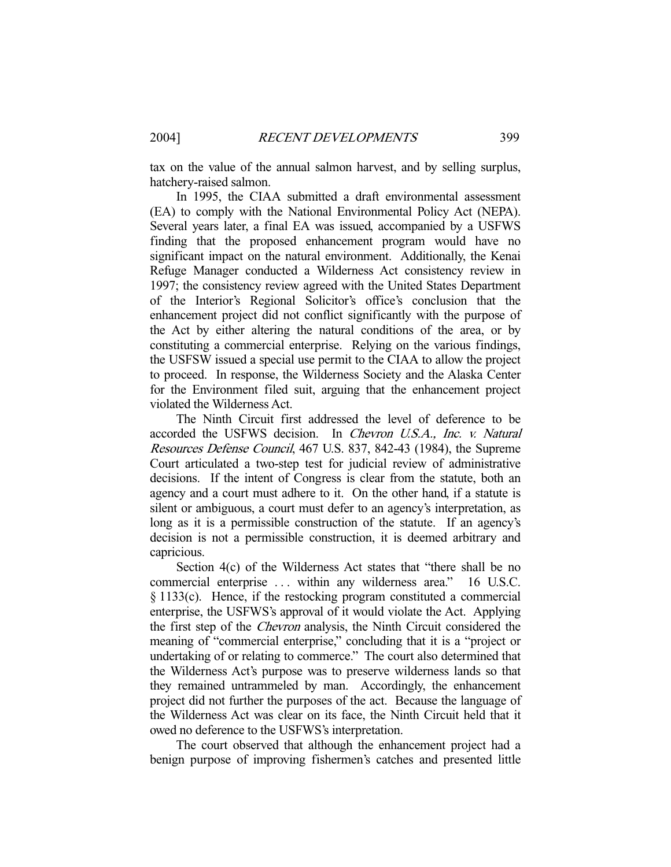tax on the value of the annual salmon harvest, and by selling surplus, hatchery-raised salmon.

 In 1995, the CIAA submitted a draft environmental assessment (EA) to comply with the National Environmental Policy Act (NEPA). Several years later, a final EA was issued, accompanied by a USFWS finding that the proposed enhancement program would have no significant impact on the natural environment. Additionally, the Kenai Refuge Manager conducted a Wilderness Act consistency review in 1997; the consistency review agreed with the United States Department of the Interior's Regional Solicitor's office's conclusion that the enhancement project did not conflict significantly with the purpose of the Act by either altering the natural conditions of the area, or by constituting a commercial enterprise. Relying on the various findings, the USFSW issued a special use permit to the CIAA to allow the project to proceed. In response, the Wilderness Society and the Alaska Center for the Environment filed suit, arguing that the enhancement project violated the Wilderness Act.

 The Ninth Circuit first addressed the level of deference to be accorded the USFWS decision. In Chevron U.S.A., Inc. v. Natural Resources Defense Council, 467 U.S. 837, 842-43 (1984), the Supreme Court articulated a two-step test for judicial review of administrative decisions. If the intent of Congress is clear from the statute, both an agency and a court must adhere to it. On the other hand, if a statute is silent or ambiguous, a court must defer to an agency's interpretation, as long as it is a permissible construction of the statute. If an agency's decision is not a permissible construction, it is deemed arbitrary and capricious.

 Section 4(c) of the Wilderness Act states that "there shall be no commercial enterprise . . . within any wilderness area." 16 U.S.C. § 1133(c). Hence, if the restocking program constituted a commercial enterprise, the USFWS's approval of it would violate the Act. Applying the first step of the Chevron analysis, the Ninth Circuit considered the meaning of "commercial enterprise," concluding that it is a "project or undertaking of or relating to commerce." The court also determined that the Wilderness Act's purpose was to preserve wilderness lands so that they remained untrammeled by man. Accordingly, the enhancement project did not further the purposes of the act. Because the language of the Wilderness Act was clear on its face, the Ninth Circuit held that it owed no deference to the USFWS's interpretation.

 The court observed that although the enhancement project had a benign purpose of improving fishermen's catches and presented little